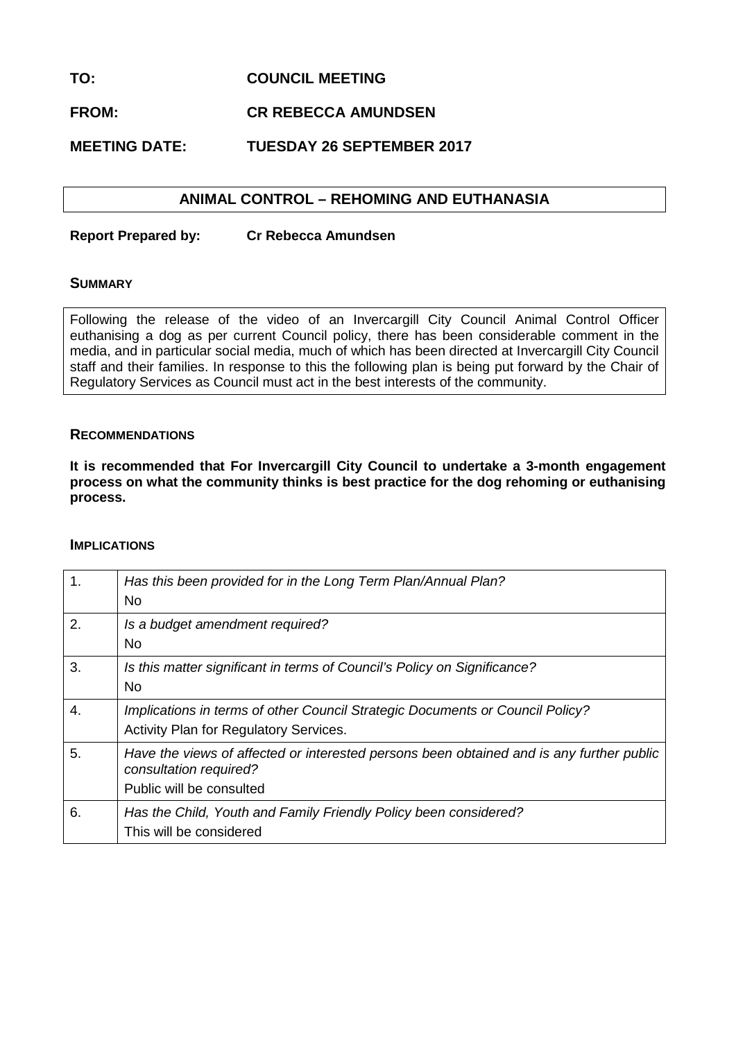## **TO: COUNCIL MEETING**

# **FROM: CR REBECCA AMUNDSEN**

# **MEETING DATE: TUESDAY 26 SEPTEMBER 2017**

# **ANIMAL CONTROL – REHOMING AND EUTHANASIA**

**Report Prepared by: Cr Rebecca Amundsen**

### **SUMMARY**

Following the release of the video of an Invercargill City Council Animal Control Officer euthanising a dog as per current Council policy, there has been considerable comment in the media, and in particular social media, much of which has been directed at Invercargill City Council staff and their families. In response to this the following plan is being put forward by the Chair of Regulatory Services as Council must act in the best interests of the community.

### **RECOMMENDATIONS**

**It is recommended that For Invercargill City Council to undertake a 3-month engagement process on what the community thinks is best practice for the dog rehoming or euthanising process.**

### **IMPLICATIONS**

| 1.               | Has this been provided for in the Long Term Plan/Annual Plan?<br><b>No</b>                                                                     |
|------------------|------------------------------------------------------------------------------------------------------------------------------------------------|
| 2.               | Is a budget amendment required?<br><b>No</b>                                                                                                   |
| 3.               | Is this matter significant in terms of Council's Policy on Significance?<br>No.                                                                |
| $\overline{4}$ . | Implications in terms of other Council Strategic Documents or Council Policy?<br>Activity Plan for Regulatory Services.                        |
| 5.               | Have the views of affected or interested persons been obtained and is any further public<br>consultation required?<br>Public will be consulted |
| 6.               | Has the Child, Youth and Family Friendly Policy been considered?<br>This will be considered                                                    |